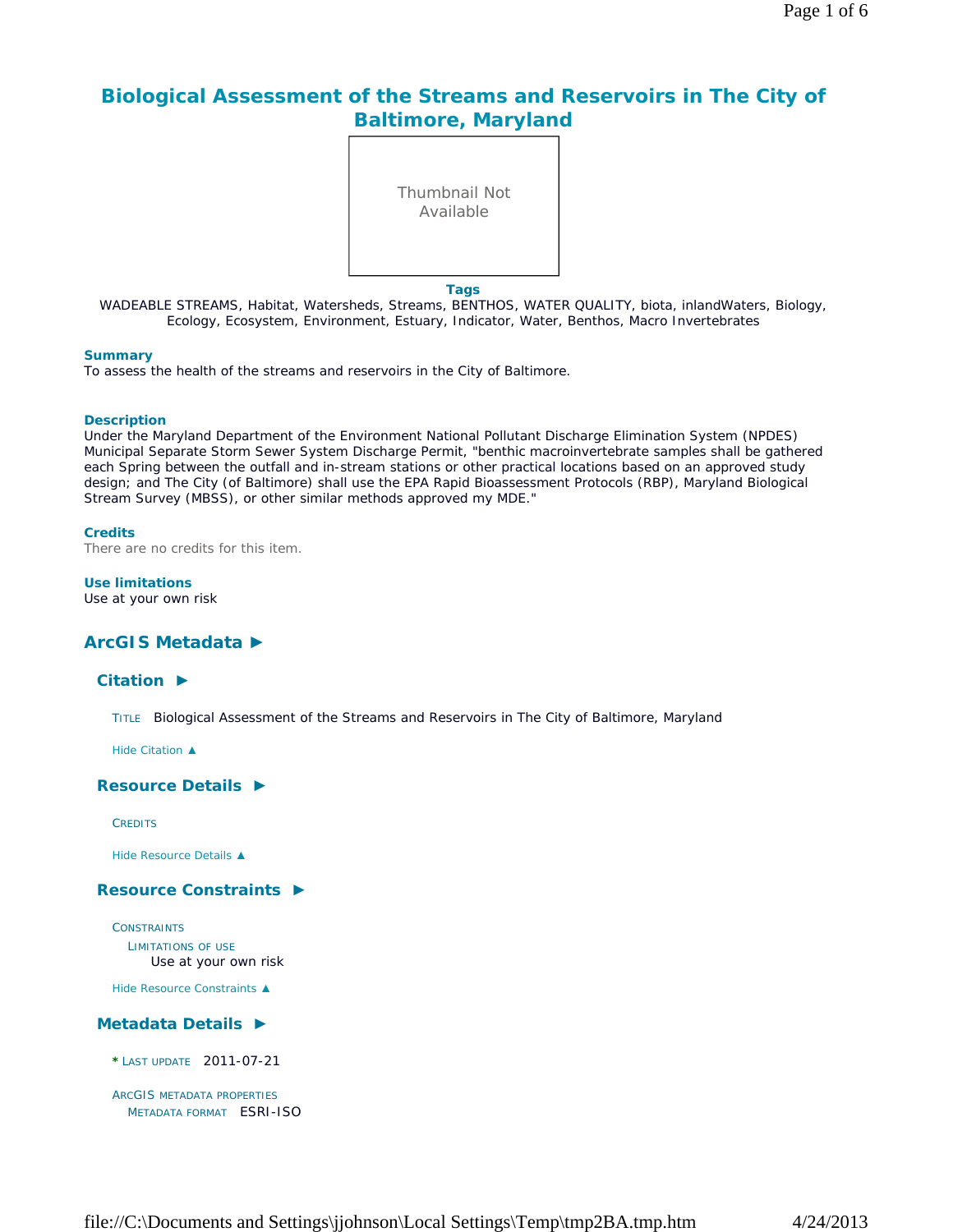# **Biological Assessment of the Streams and Reservoirs in The City of Baltimore, Maryland**



WADEABLE STREAMS, Habitat, Watersheds, Streams, BENTHOS, WATER QUALITY, biota, inlandWaters, Biology, Ecology, Ecosystem, Environment, Estuary, Indicator, Water, Benthos, Macro Invertebrates

#### **Summary**

To assess the health of the streams and reservoirs in the City of Baltimore.

#### **Description**

Under the Maryland Department of the Environment National Pollutant Discharge Elimination System (NPDES) Municipal Separate Storm Sewer System Discharge Permit, "benthic macroinvertebrate samples shall be gathered each Spring between the outfall and in-stream stations or other practical locations based on an approved study design; and The City (of Baltimore) shall use the EPA Rapid Bioassessment Protocols (RBP), Maryland Biological Stream Survey (MBSS), or other similar methods approved my MDE."

#### **Credits**

There are no credits for this item.

#### **Use limitations**

Use at your own risk

# **ArcGIS Metadata ►**

### **Citation ►**

TITLE Biological Assessment of the Streams and Reservoirs in The City of Baltimore, Maryland

*Hide Citation ▲*

## **Resource Details ►**

**CREDITS** 

*Hide Resource Details ▲*

## **Resource Constraints ►**

**CONSTRAINTS** LIMITATIONS OF USE Use at your own risk

*Hide Resource Constraints ▲*

## **Metadata Details ►**

**\***LAST UPDATE 2011-07-21

```
ARCGIS METADATA PROPERTIES
  METADATA FORMAT ESRI-ISO
```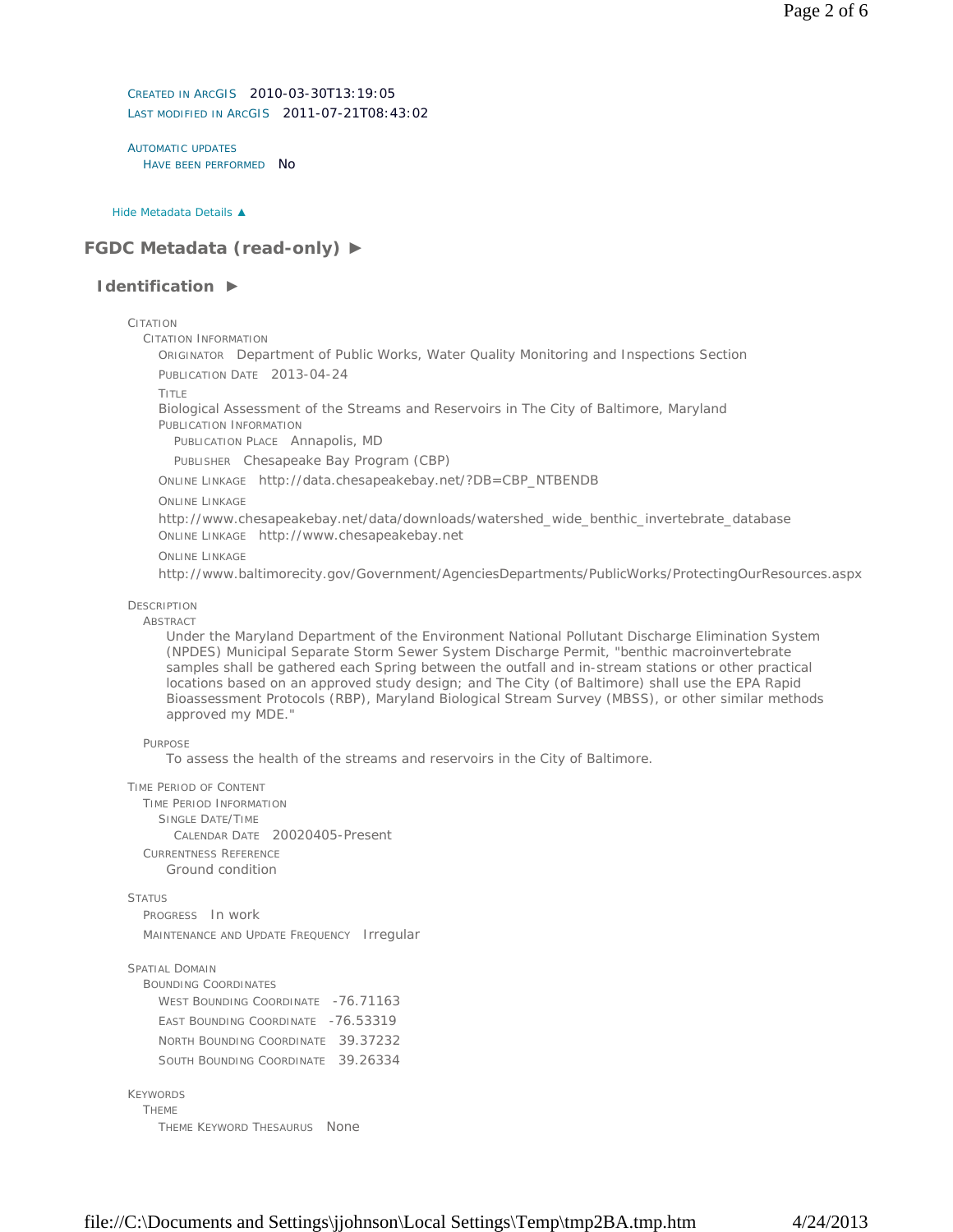CREATED IN ARCGIS 2010-03-30T13:19:05 LAST MODIFIED IN ARCGIS 2011-07-21T08:43:02

AUTOMATIC UPDATES HAVE BEEN PERFORMED NO

*Hide Metadata Details ▲*

# **FGDC Metadata (read-only) ►**

# **Identification ►**

#### CITATION

CITATION INFORMATION

ORIGINATOR Department of Public Works, Water Quality Monitoring and Inspections Section

PUBLICATION DATE 2013-04-24

TITLE

Biological Assessment of the Streams and Reservoirs in The City of Baltimore, Maryland PUBLICATION INFORMATION

PUBLICATION PLACE Annapolis, MD

PUBLISHER Chesapeake Bay Program (CBP)

ONLINE LINKAGE http://data.chesapeakebay.net/?DB=CBP\_NTBENDB

# ONLINE LINKAGE

http://www.chesapeakebay.net/data/downloads/watershed\_wide\_benthic\_invertebrate\_database ONLINE LINKAGE http://www.chesapeakebay.net

ONLINE LINKAGE

http://www.baltimorecity.gov/Government/AgenciesDepartments/PublicWorks/ProtectingOurResources.aspx

## **DESCRIPTION**

## **ABSTRACT**

Under the Maryland Department of the Environment National Pollutant Discharge Elimination System (NPDES) Municipal Separate Storm Sewer System Discharge Permit, "benthic macroinvertebrate samples shall be gathered each Spring between the outfall and in-stream stations or other practical locations based on an approved study design; and The City (of Baltimore) shall use the EPA Rapid Bioassessment Protocols (RBP), Maryland Biological Stream Survey (MBSS), or other similar methods approved my MDE."

# **PURPOSE**

To assess the health of the streams and reservoirs in the City of Baltimore.

#### TIME PERIOD OF CONTENT

TIME PERIOD INFORMATION SINGLE DATE/TIME CALENDAR DATE 20020405-Present CURRENTNESS REFERENCE Ground condition

**STATUS** 

PROGRESS In work MAINTENANCE AND UPDATE FREQUENCY Irregular

## SPATIAL DOMAIN

BOUNDING COORDINATES WEST BOUNDING COORDINATE -76.71163 EAST BOUNDING COORDINATE -76.53319 NORTH BOUNDING COORDINATE 39.37232 SOUTH BOUNDING COORDINATE 39.26334

# KEYWORDS

THEME THEME KEYWORD THESAURUS None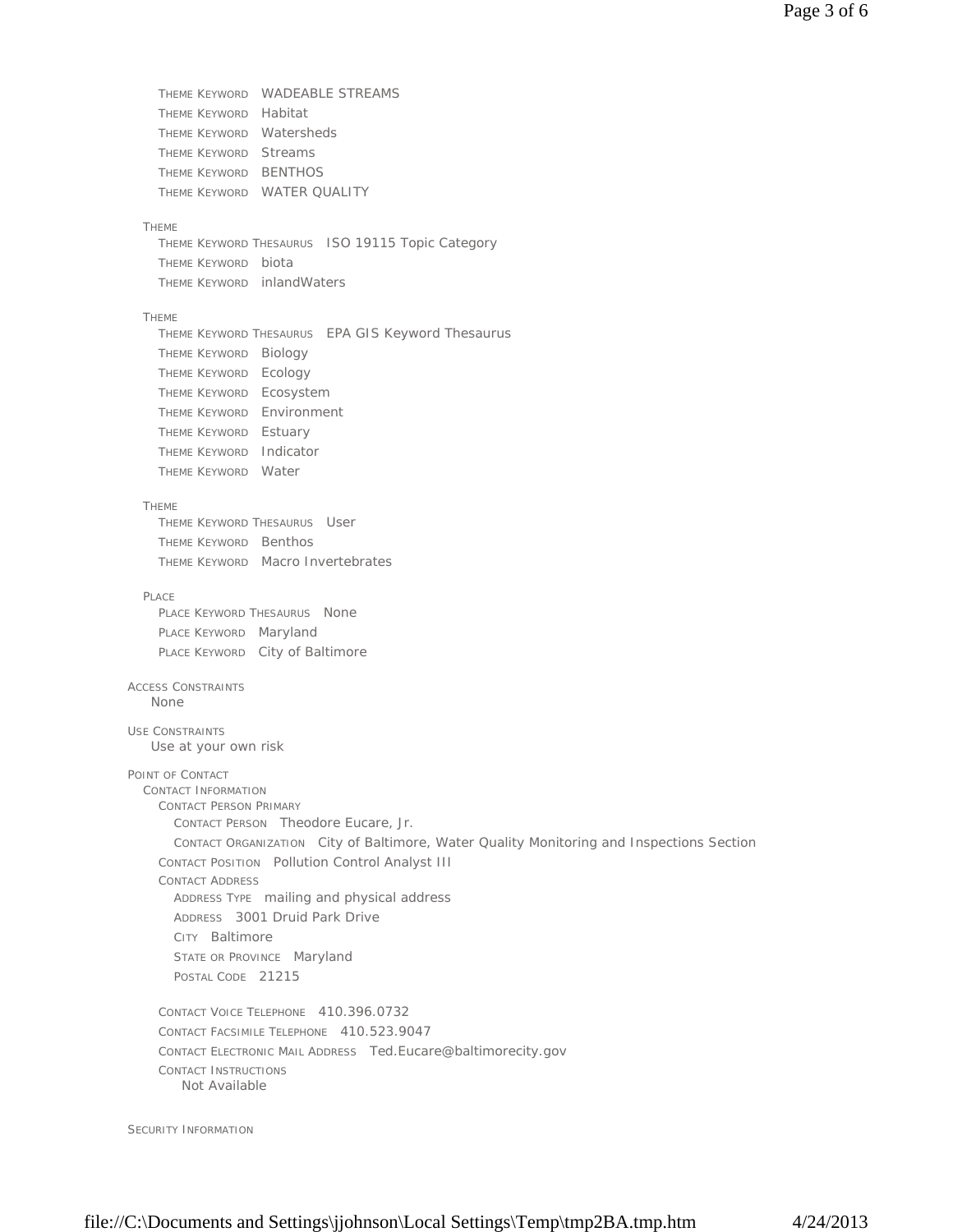```
THEME KEYWORD WADEABLE STREAMS 
    THEME KEYWORD Habitat 
    THEME KEYWORD Watersheds 
    THEME KEYWORD Streams 
    THEME KEYWORD BENTHOS 
    THEME KEYWORD WATER QUALITY
  THEME 
    THEME KEYWORD THESAURUS ISO 19115 Topic Category
    THEME KEYWORD biota 
    THEME KEYWORD inlandWaters
  THEME 
    THEME KEYWORD THESAURUS EPA GIS Keyword Thesaurus 
    THEME KEYWORD Biology 
    THEME KEYWORD Ecology 
    THEME KEYWORD Ecosystem 
    THEME KEYWORD Environment 
    THEME KEYWORD Estuary 
    THEME KEYWORD Indicator 
    THEME KEYWORD Water
  THEME 
    THEME KEYWORD THESAURUS User 
    THEME KEYWORD Benthos 
   THEME KEYWORD Macro Invertebrates
  PLACE 
    PLACE KEYWORD THESAURUS None
    PLACE KEYWORD Maryland 
    PLACE KEYWORD City of Baltimore
ACCESS CONSTRAINTS
USE CONSTRAINTS
POINT OF CONTACT 
  CONTACT INFORMATION 
   CONTACT PERSON PRIMARY 
      CONTACT PERSON Theodore Eucare, Jr. 
      CONTACT ORGANIZATION City of Baltimore, Water Quality Monitoring and Inspections Section
    CONTACT POSITION Pollution Control Analyst III 
    CONTACT ADDRESS 
      ADDRESS TYPE mailing and physical address 
      ADDRESS 3001 Druid Park Drive 
      CITY Baltimore 
      STATE OR PROVINCE Maryland 
      POSTAL CODE 21215
    CONTACT VOICE TELEPHONE 410.396.0732 
    CONTACT FACSIMILE TELEPHONE 410.523.9047 
    CONTACT ELECTRONIC MAIL ADDRESS Ted.Eucare@baltimorecity.gov 
    CONTACT INSTRUCTIONS
   None
   Use at your own risk
       Not Available
```
SECURITY INFORMATION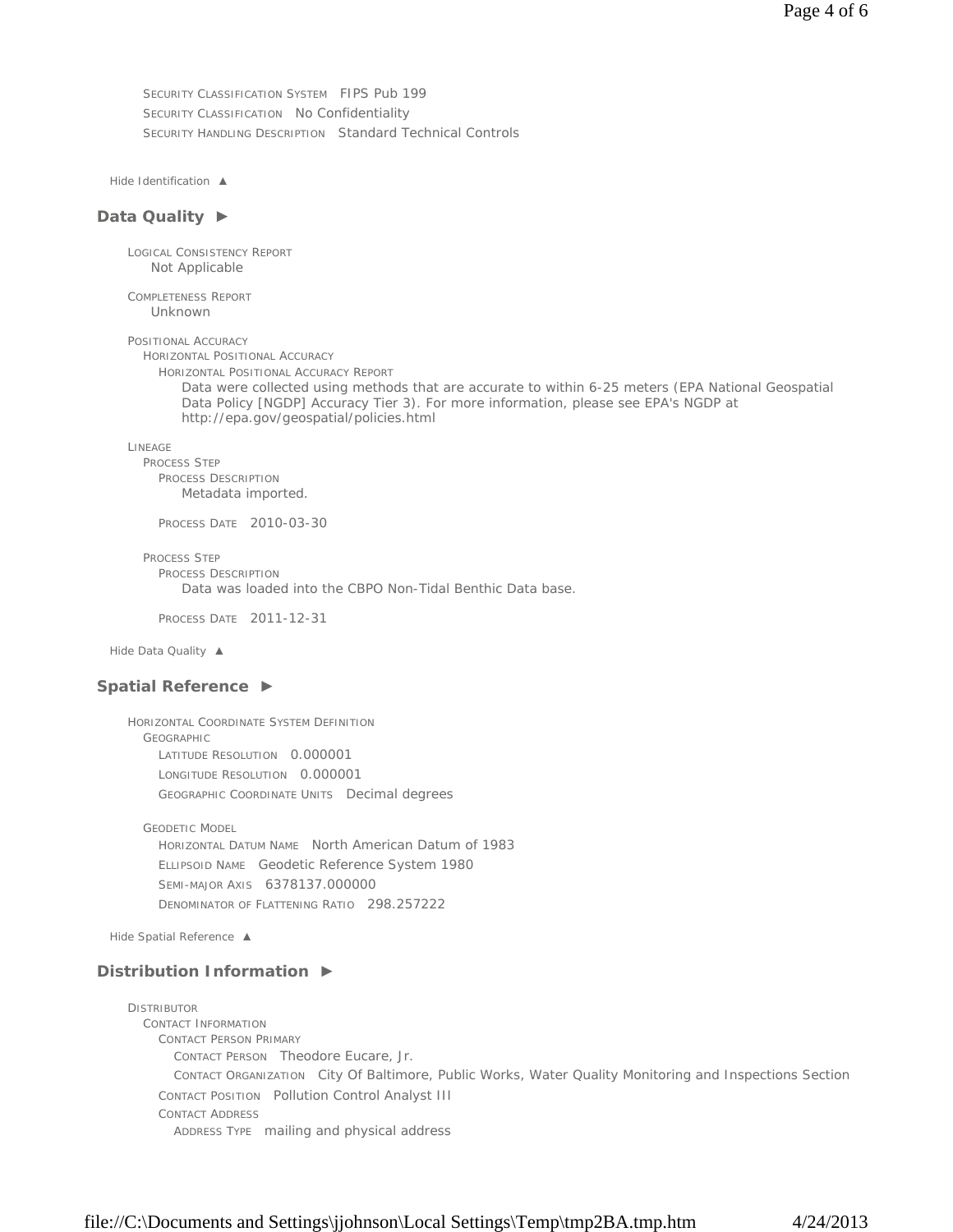SECURITY CLASSIFICATION SYSTEM FIPS Pub 199 SECURITY CLASSIFICATION No Confidentiality SECURITY HANDLING DESCRIPTION Standard Technical Controls

*Hide Identification ▲*

#### **Data Quality ►**

LOGICAL CONSISTENCY REPORT Not Applicable

COMPLETENESS REPORT Unknown

POSITIONAL ACCURACY

HORIZONTAL POSITIONAL ACCURACY HORIZONTAL POSITIONAL ACCURACY REPORT

Data were collected using methods that are accurate to within 6-25 meters (EPA National Geospatial Data Policy [NGDP] Accuracy Tier 3). For more information, please see EPA's NGDP at http://epa.gov/geospatial/policies.html

LINEAGE

PROCESS STEP

PROCESS DESCRIPTION Metadata imported.

PROCESS DATE 2010-03-30

PROCESS STEP

PROCESS DESCRIPTION Data was loaded into the CBPO Non-Tidal Benthic Data base.

PROCESS DATE 2011-12-31

*Hide Data Quality ▲*

#### **Spatial Reference ►**

HORIZONTAL COORDINATE SYSTEM DEFINITION GEOGRAPHIC LATITUDE RESOLUTION 0.000001 LONGITUDE RESOLUTION 0.000001 GEOGRAPHIC COORDINATE UNITS Decimal degrees

GEODETIC MODEL HORIZONTAL DATUM NAME North American Datum of 1983 ELLIPSOID NAME Geodetic Reference System 1980 SEMI-MAJOR AXIS 6378137.000000 DENOMINATOR OF FLATTENING RATIO 298.257222

*Hide Spatial Reference ▲*

## **Distribution Information ►**

**DISTRIBUTOR** CONTACT INFORMATION CONTACT PERSON PRIMARY CONTACT PERSON Theodore Eucare, Jr. CONTACT ORGANIZATION City Of Baltimore, Public Works, Water Quality Monitoring and Inspections Section CONTACT POSITION Pollution Control Analyst III CONTACT ADDRESS ADDRESS TYPE mailing and physical address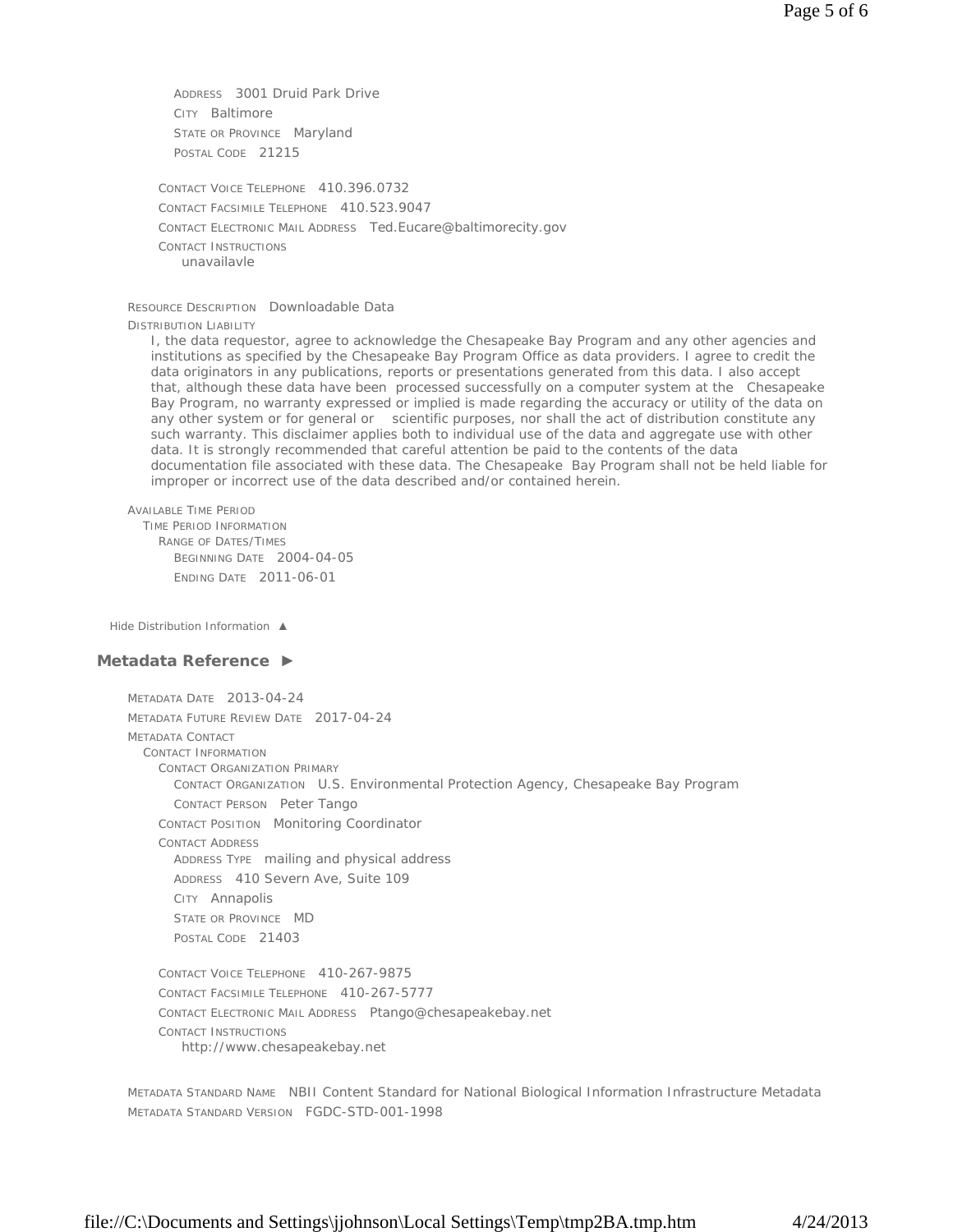ADDRESS 3001 Druid Park Drive CITY Baltimore STATE OR PROVINCE Maryland POSTAL CODE 21215

CONTACT VOICE TELEPHONE 410.396.0732 CONTACT FACSIMILE TELEPHONE 410.523.9047 CONTACT ELECTRONIC MAIL ADDRESS Ted.Eucare@baltimorecity.gov CONTACT INSTRUCTIONS unavailavle

#### RESOURCE DESCRIPTION Downloadable Data

#### DISTRIBUTION LIABILITY

I, the data requestor, agree to acknowledge the Chesapeake Bay Program and any other agencies and institutions as specified by the Chesapeake Bay Program Office as data providers. I agree to credit the data originators in any publications, reports or presentations generated from this data. I also accept that, although these data have been processed successfully on a computer system at the Chesapeake Bay Program, no warranty expressed or implied is made regarding the accuracy or utility of the data on any other system or for general or scientific purposes, nor shall the act of distribution constitute any such warranty. This disclaimer applies both to individual use of the data and aggregate use with other data. It is strongly recommended that careful attention be paid to the contents of the data documentation file associated with these data. The Chesapeake Bay Program shall not be held liable for improper or incorrect use of the data described and/or contained herein.

```
AVAILABLE TIME PERIOD
```
TIME PERIOD INFORMATION RANGE OF DATES/TIMES BEGINNING DATE 2004-04-05 ENDING DATE 2011-06-01

*Hide Distribution Information ▲*

#### **Metadata Reference ►**

METADATA DATE 2013-04-24 METADATA FUTURE REVIEW DATE 2017-04-24 METADATA CONTACT CONTACT INFORMATION CONTACT ORGANIZATION PRIMARY CONTACT ORGANIZATION U.S. Environmental Protection Agency, Chesapeake Bay Program CONTACT PERSON Peter Tango CONTACT POSITION Monitoring Coordinator CONTACT ADDRESS ADDRESS TYPE mailing and physical address ADDRESS 410 Severn Ave, Suite 109 CITY Annapolis STATE OR PROVINCE MD POSTAL CODE 21403 CONTACT VOICE TELEPHONE 410-267-9875 CONTACT FACSIMILE TELEPHONE 410-267-5777

CONTACT ELECTRONIC MAIL ADDRESS Ptango@chesapeakebay.net CONTACT INSTRUCTIONS http://www.chesapeakebay.net

METADATA STANDARD NAME NBII Content Standard for National Biological Information Infrastructure Metadata METADATA STANDARD VERSION FGDC-STD-001-1998